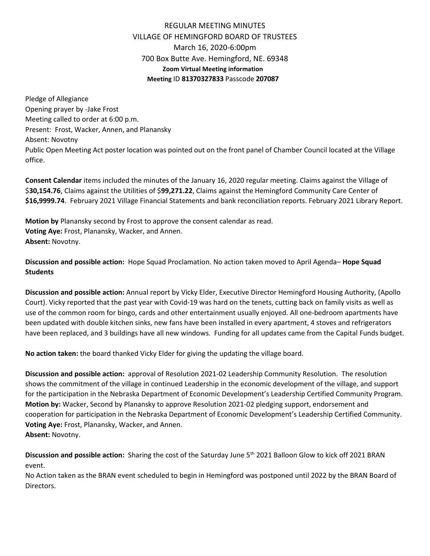## REGULAR MEETING MINUTES VILLAGE OF HEMINGFORD BOARD OF TRUSTEES March 16, 2020-6:00pm 700 Box Butte Ave. Hemingford, NE. 69348 **Zoom Virtual Meeting information Meeting** ID **81370327833** Passcode **207087**

Pledge of Allegiance Opening prayer by -Jake Frost Meeting called to order at 6:00 p.m. Present: Frost, Wacker, Annen, and Planansky Absent: Novotny Public Open Meeting Act poster location was pointed out on the front panel of Chamber Council located at the Village office.

**Consent Calendar** items included the minutes of the January 16, 2020 regular meeting. Claims against the Village of \$**30,154.76**, Claims against the Utilities of \$**99,271.22**, Claims against the Hemingford Community Care Center of **\$16,9999.74**. February 2021 Village Financial Statements and bank reconciliation reports. February 2021 Library Report.

**Motion by** Planansky second by Frost to approve the consent calendar as read. **Voting Aye:** Frost, Planansky, Wacker, and Annen. **Absent:** Novotny.

**Discussion and possible action:** Hope Squad Proclamation. No action taken moved to April Agenda– **Hope Squad Students**

**Discussion and possible action:** Annual report by Vicky Elder, Executive Director Hemingford Housing Authority, (Apollo Court). Vicky reported that the past year with Covid-19 was hard on the tenets, cutting back on family visits as well as use of the common room for bingo, cards and other entertainment usually enjoyed. All one-bedroom apartments have been updated with double kitchen sinks, new fans have been installed in every apartment, 4 stoves and refrigerators have been replaced, and 3 buildings have all new windows. Funding for all updates came from the Capital Funds budget.

**No action taken:** the board thanked Vicky Elder for giving the updating the village board.

**Discussion and possible action:** approval of Resolution 2021-02 Leadership Community Resolution. The resolution shows the commitment of the village in continued Leadership in the economic development of the village, and support for the participation in the Nebraska Department of Economic Development's Leadership Certified Community Program. **Motion by:** Wacker, Second by Planansky to approve Resolution 2021-02 pledging support, endorsement and cooperation for participation in the Nebraska Department of Economic Development's Leadership Certified Community. **Voting Aye:** Frost, Planansky, Wacker, and Annen. **Absent:** Novotny.

**Discussion and possible action:** Sharing the cost of the Saturday June 5th 2021 Balloon Glow to kick off 2021 BRAN event.

No Action taken as the BRAN event scheduled to begin in Hemingford was postponed until 2022 by the BRAN Board of Directors.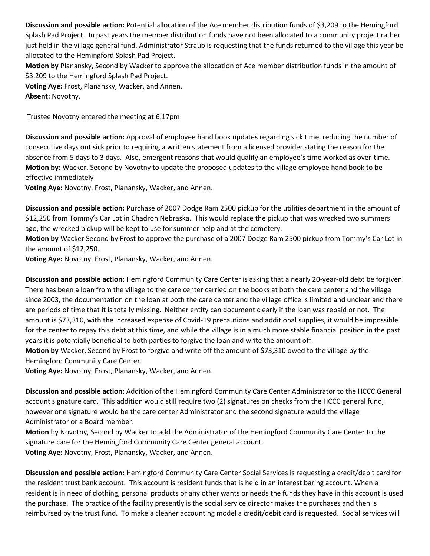**Discussion and possible action:** Potential allocation of the Ace member distribution funds of \$3,209 to the Hemingford Splash Pad Project. In past years the member distribution funds have not been allocated to a community project rather just held in the village general fund. Administrator Straub is requesting that the funds returned to the village this year be allocated to the Hemingford Splash Pad Project.

**Motion by** Planansky, Second by Wacker to approve the allocation of Ace member distribution funds in the amount of \$3,209 to the Hemingford Splash Pad Project.

**Voting Aye:** Frost, Planansky, Wacker, and Annen. **Absent:** Novotny.

Trustee Novotny entered the meeting at 6:17pm

**Discussion and possible action:** Approval of employee hand book updates regarding sick time, reducing the number of consecutive days out sick prior to requiring a written statement from a licensed provider stating the reason for the absence from 5 days to 3 days. Also, emergent reasons that would qualify an employee's time worked as over-time. **Motion by:** Wacker, Second by Novotny to update the proposed updates to the village employee hand book to be effective immediately

**Voting Aye:** Novotny, Frost, Planansky, Wacker, and Annen.

**Discussion and possible action:** Purchase of 2007 Dodge Ram 2500 pickup for the utilities department in the amount of \$12,250 from Tommy's Car Lot in Chadron Nebraska. This would replace the pickup that was wrecked two summers ago, the wrecked pickup will be kept to use for summer help and at the cemetery.

**Motion by** Wacker Second by Frost to approve the purchase of a 2007 Dodge Ram 2500 pickup from Tommy's Car Lot in the amount of \$12,250.

**Voting Aye:** Novotny, Frost, Planansky, Wacker, and Annen.

**Discussion and possible action:** Hemingford Community Care Center is asking that a nearly 20-year-old debt be forgiven. There has been a loan from the village to the care center carried on the books at both the care center and the village since 2003, the documentation on the loan at both the care center and the village office is limited and unclear and there are periods of time that it is totally missing. Neither entity can document clearly if the loan was repaid or not. The amount is \$73,310, with the increased expense of Covid-19 precautions and additional supplies, it would be impossible for the center to repay this debt at this time, and while the village is in a much more stable financial position in the past years it is potentially beneficial to both parties to forgive the loan and write the amount off.

**Motion by** Wacker, Second by Frost to forgive and write off the amount of \$73,310 owed to the village by the Hemingford Community Care Center.

**Voting Aye:** Novotny, Frost, Planansky, Wacker, and Annen.

**Discussion and possible action:** Addition of the Hemingford Community Care Center Administrator to the HCCC General account signature card. This addition would still require two (2) signatures on checks from the HCCC general fund, however one signature would be the care center Administrator and the second signature would the village Administrator or a Board member.

**Motion** by Novotny, Second by Wacker to add the Administrator of the Hemingford Community Care Center to the signature care for the Hemingford Community Care Center general account. **Voting Aye:** Novotny, Frost, Planansky, Wacker, and Annen.

**Discussion and possible action:** Hemingford Community Care Center Social Services is requesting a credit/debit card for the resident trust bank account. This account is resident funds that is held in an interest baring account. When a resident is in need of clothing, personal products or any other wants or needs the funds they have in this account is used the purchase. The practice of the facility presently is the social service director makes the purchases and then is reimbursed by the trust fund. To make a cleaner accounting model a credit/debit card is requested. Social services will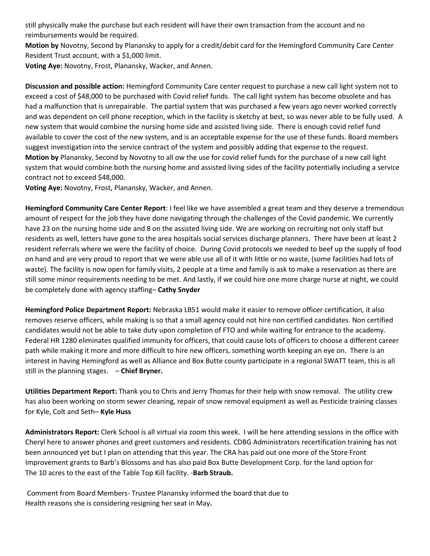still physically make the purchase but each resident will have their own transaction from the account and no reimbursements would be required.

**Motion by** Novotny, Second by Planansky to apply for a credit/debit card for the Hemingford Community Care Center Resident Trust account, with a \$1,000 limit.

**Voting Aye:** Novotny, Frost, Planansky, Wacker, and Annen.

**Discussion and possible action:** Hemingford Community Care center request to purchase a new call light system not to exceed a cost of \$48,000 to be purchased with Covid relief funds. The call light system has become obsolete and has had a malfunction that is unrepairable. The partial system that was purchased a few years ago never worked correctly and was dependent on cell phone reception, which in the facility is sketchy at best, so was never able to be fully used. A new system that would combine the nursing home side and assisted living side. There is enough covid relief fund available to cover the cost of the new system, and is an acceptable expense for the use of these funds. Board members suggest investigation into the service contract of the system and possibly adding that expense to the request. **Motion by** Planansky, Second by Novotny to all ow the use for covid relief funds for the purchase of a new call light system that would combine both the nursing home and assisted living sides of the facility potentially including a service contract not to exceed \$48,000.

**Voting Aye:** Novotny, Frost, Planansky, Wacker, and Annen.

**Hemingford Community Care Center Report**: I feel like we have assembled a great team and they deserve a tremendous amount of respect for the job they have done navigating through the challenges of the Covid pandemic. We currently have 23 on the nursing home side and 8 on the assisted living side. We are working on recruiting not only staff but residents as well, letters have gone to the area hospitals social services discharge planners. There have been at least 2 resident referrals where we were the facility of choice. During Covid protocols we needed to beef up the supply of food on hand and are very proud to report that we were able use all of it with little or no waste, (some facilities had lots of waste). The facility is now open for family visits, 2 people at a time and family is ask to make a reservation as there are still some minor requirements needing to be met. And lastly, if we could hire one more charge nurse at night, we could be completely done with agency staffing– **Cathy Snyder**

**Hemingford Police Department Report:** Nebraska LB51 would make it easier to remove officer certification, it also removes reserve officers, while making is so that a small agency could not hire non certified candidates. Non certified candidates would not be able to take duty upon completion of FTO and while waiting for entrance to the academy. Federal HR 1280 eliminates qualified immunity for officers, that could cause lots of officers to choose a different career path while making it more and more difficult to hire new officers, something worth keeping an eye on. There is an interest in having Hemingford as well as Alliance and Box Butte county participate in a regional SWATT team, this is all still in the planning stages. – **Chief Bryner.**

**Utilities Department Report:** Thank you to Chris and Jerry Thomas for their help with snow removal. The utility crew has also been working on storm sewer cleaning, repair of snow removal equipment as well as Pesticide training classes for Kyle, Colt and Seth– **Kyle Huss**

**Administrators Report:** Clerk School is all virtual via zoom this week. I will be here attending sessions in the office with Cheryl here to answer phones and greet customers and residents. CDBG Administrators recertification training has not been announced yet but I plan on attending that this year. The CRA has paid out one more of the Store Front Improvement grants to Barb's Blossoms and has also paid Box Butte Development Corp. for the land option for The 10 acres to the east of the Table Top Kill facility. -**Barb Straub.** 

Comment from Board Members- Trustee Planansky informed the board that due to Health reasons she is considering resigning her seat in May**.**